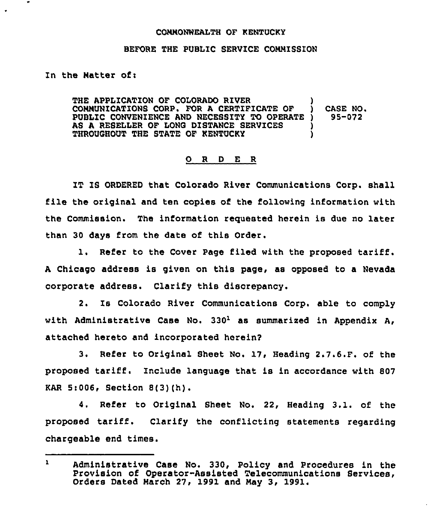## CONHONNEALTH OF KENTUCKY

## BEFORE THE PUBLIC SERVICE COMMISSION

In the Natter of:

THE APPLICATION OF COLORADO RIVER COMMUNICATIONS CORP. FOR A CERTIFICATE OF ) CASE NO.<br>PUBLIC CONVENIENCE AND NECESSITY TO OPERATE ) 95-072 PUBLIC CONVENIENCE AND NECESSITY TO OPERATE AS A RESELLER OF LONG DISTANCE SERVICES THROUGHOUT THE STATE OF KENTUCKY )

## 0 <sup>R</sup> <sup>D</sup> E <sup>R</sup>

IT IS ORDERED that Colorado River Communications Corp. shall file the original and ten copies of the following information with the Commission. The information requested herein is due no later than 30 days from the date of this Order.

l. Refer to the Cover Page filed with the proposed tariff. <sup>A</sup> Chicago address is given on this page, as opposed to <sup>a</sup> Nevada corporate address. Clarify this discrepancy.

2. Is Colorado River Communications Corp. able to comply with Administrative Case No.  $330<sup>1</sup>$  as summarized in Appendix A, attached hereto and incorporated herein?

3. Refer to Original Sheet No. 17, Heading 2.7.6.F. of the proposed tariff. Include language that is in accordance with <sup>807</sup> KAR 5:OQ6, Section 8(3)(h).

4. Refer to Original Sheet No. 22, Heading 3.1. of the proposed tariff. Clarify the conflicting statements regarding chargeable end times.

 $\mathbf{1}$ Administrative Case No. 330, Policy and Procedures in the Provision of Operator-Assisted Telecommunications Services, Orders Dated March 27, 1991 and Nay 3, 1991.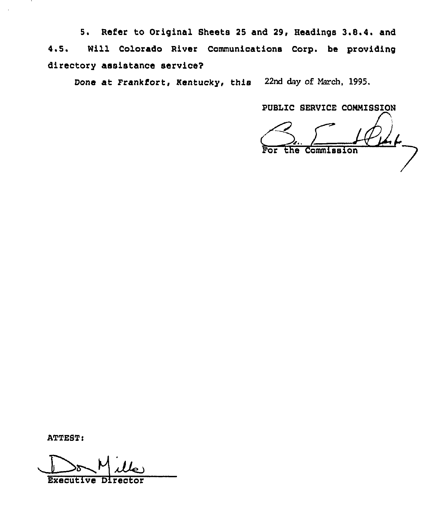5. Refer to Original Sheets 25 and 29, Headings 3.8.4. and 4.5. Will Colorado River Communications Corp. be providing directory assistance service?

Done at Frankfort, Kentucky, this 22nd day of March, 1995.

PUBLIC SERVICE CONNISSION

Commission

ATTEST:

Executive Dire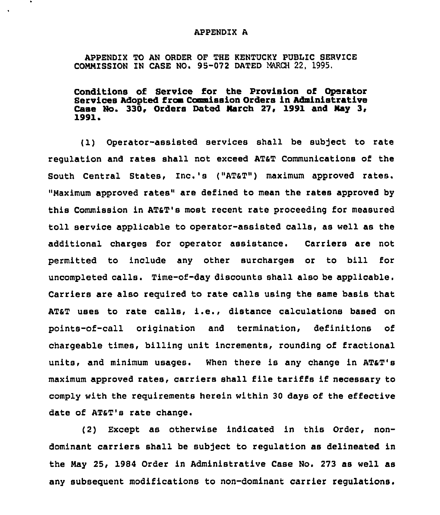## APPENDIX A

 $\bullet$ 

APPENDIX TO AN ORDER OF THE KENTUCKY PUBLIC SERVICE COMMISSION ZN CASE NO. 95-072 DATED MARCH 22, 1995.

Conditions of Service for the Provision of Operator Services Adopted from Commission Orders in Administrative Case No. 330, Orders Dated March 27, 1991 and May 3, 1991

'1) Operator-assisted services shall be subject to rate regulation and rates shall not exceed AT&T Communications of the South Central States, Inc.'s ("AT&T") maximum approved rates. "Maximum approved rates" are defined to mean the rates approved by this Commission in AT&T's most recent rate proceeding for measured toll service applicable to operator-assisted calls, as well as the additional charges for operator assistance. Carriers are not permitted to include any other surcharges or to bill for uncompleted calls. Time-of-day discounts shall also be applicable. Carriers are also required to rate calls using the same basis that AT&T uses to rate calls, i.e., distance calculations based on points-of-call origination and termination, definitions of chargeable times, billing unit increments, rounding of fractional units, and minimum usages. When there is any change in ATaT's maximum approved rates, carriers shall file tariffs if necessary to comply with the requirements herein within 30 days of the effective date of ATST's rate change.

(2) Except as otherwise indicated in this Order, nondominant carriers shall be subject to regulation as delineated in the May 25, 1984 Order in Administrative Case No. 273 as well as any subsequent modifications to non-dominant carrier regulations.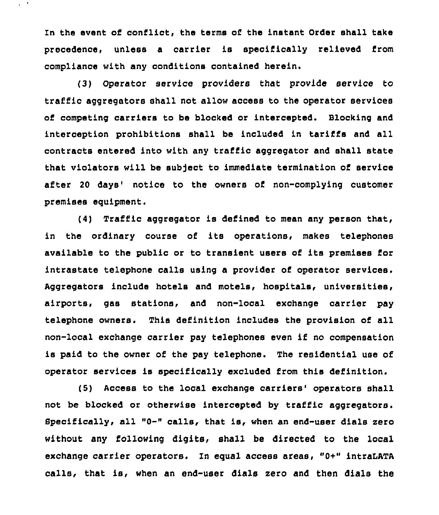In the event of conflict, the terms of the instant Order shall take precedence, unless a carrier is specifically relieved from compliance with any conditions contained herein.

 $\chi \sim 20$ 

(3) Operator service providers that provide service to traffic aggregators shall not allow access to the operator services of competing carriers to be blocked or intercepted. Blocking and interception prohibitions shall be included in tariffs and all contracts entered into with any traffic aggregator and shall state that violators will be sub)ect to immediate termination of service after 20 days' notice to the owners of non-complying customer premises equipment.

(4) Traffic aggregator is defined to mean any person that, in the ordinary course of its operations, makes telephones available to the public or to transient users of its premises Eor intrastate telephone calls using a provider of operator services. Aggregators include hotels and motels, hospitals, universities, airports, gas stations, and non-local exchange carrier pay telephone owners. This definition includes the provision of all non-local exchange carrier pay telephones even if no compensation is paid to the owner of the pay telephone. The residential use of operator services is specifically excluded from this definition.

(5) Access to the local exchange carriers' operators shall not be blocked or otherwise intercepted by traffic aggregators. Specifically, all "0-" calls, that is, when an end-user dials zero without any following digits, shall be directed to the local exchange carrier operators. In equal access areas, "0+" intraLATA calls, that is, when an end-user dials zero and then dials the